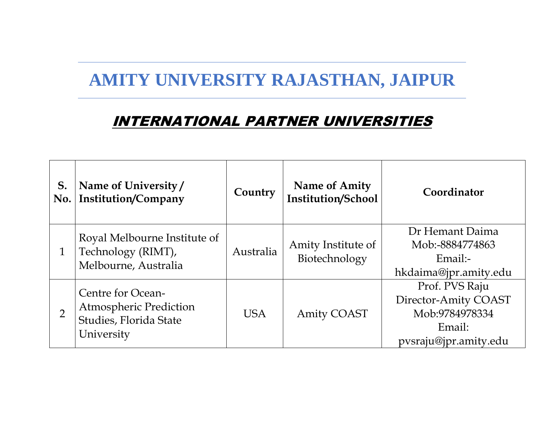## **AMITY UNIVERSITY RAJASTHAN, JAIPUR**

## INTERNATIONAL PARTNER UNIVERSITIES

| S.<br>No.      | Name of University/<br>Institution/Company                                                 | Country    | <b>Name of Amity</b><br><b>Institution/School</b> | Coordinator                                                                                 |
|----------------|--------------------------------------------------------------------------------------------|------------|---------------------------------------------------|---------------------------------------------------------------------------------------------|
|                | Royal Melbourne Institute of<br>Technology (RIMT),<br>Melbourne, Australia                 | Australia  | Amity Institute of<br>Biotechnology               | Dr Hemant Daima<br>Mob:-8884774863<br>$Email$ :-<br>hkdaima@jpr.amity.edu                   |
| $\overline{2}$ | Centre for Ocean-<br><b>Atmospheric Prediction</b><br>Studies, Florida State<br>University | <b>USA</b> | <b>Amity COAST</b>                                | Prof. PVS Raju<br>Director-Amity COAST<br>Mob:9784978334<br>Email:<br>pysraju@jpr.amity.edu |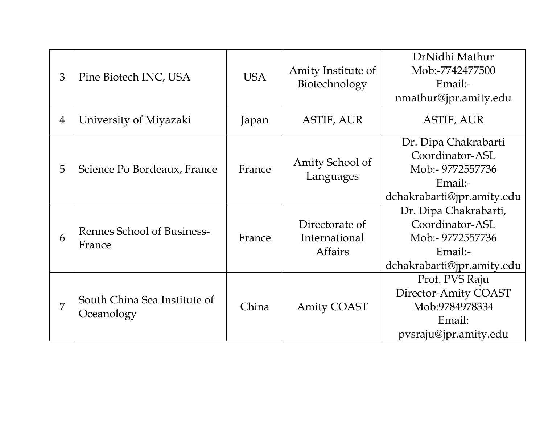| 3              | Pine Biotech INC, USA                      | <b>USA</b> | Amity Institute of<br>Biotechnology               | DrNidhi Mathur             |
|----------------|--------------------------------------------|------------|---------------------------------------------------|----------------------------|
|                |                                            |            |                                                   | Mob:-7742477500            |
|                |                                            |            |                                                   | Email:-                    |
|                |                                            |            |                                                   | nmathur@jpr.amity.edu      |
| $\overline{4}$ | University of Miyazaki                     | Japan      | <b>ASTIF, AUR</b>                                 | <b>ASTIF, AUR</b>          |
| 5              | Science Po Bordeaux, France                | France     | Amity School of<br>Languages                      | Dr. Dipa Chakrabarti       |
|                |                                            |            |                                                   | Coordinator-ASL            |
|                |                                            |            |                                                   | Mob:- 9772557736           |
|                |                                            |            |                                                   | Email:-                    |
|                |                                            |            |                                                   | dchakrabarti@jpr.amity.edu |
| 6              | Rennes School of Business-<br>France       | France     | Directorate of<br>International<br><b>Affairs</b> | Dr. Dipa Chakrabarti,      |
|                |                                            |            |                                                   | Coordinator-ASL            |
|                |                                            |            |                                                   | Mob:- 9772557736           |
|                |                                            |            |                                                   | Email:-                    |
|                |                                            |            |                                                   | dchakrabarti@jpr.amity.edu |
| 7              | South China Sea Institute of<br>Oceanology | China      | <b>Amity COAST</b>                                | Prof. PVS Raju             |
|                |                                            |            |                                                   | Director-Amity COAST       |
|                |                                            |            |                                                   | Mob:9784978334             |
|                |                                            |            |                                                   | Email:                     |
|                |                                            |            |                                                   | pvsraju@jpr.amity.edu      |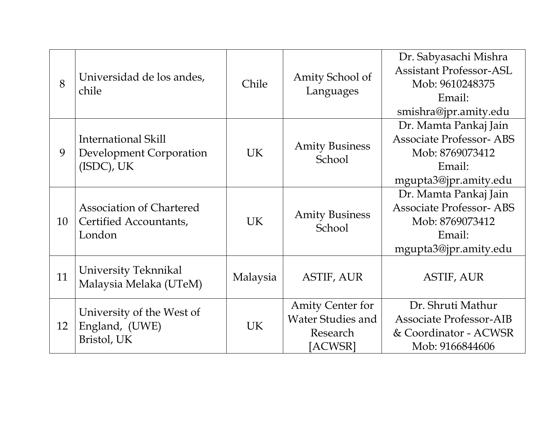| 8  | Universidad de los andes,<br>chile                                     | Chile     | Amity School of<br>Languages                                               | Dr. Sabyasachi Mishra<br><b>Assistant Professor-ASL</b><br>Mob: 9610248375<br>Email:<br>smishra@jpr.amity.edu |
|----|------------------------------------------------------------------------|-----------|----------------------------------------------------------------------------|---------------------------------------------------------------------------------------------------------------|
| 9  | International Skill<br><b>Development Corporation</b><br>$(ISDC)$ , UK | UK        | <b>Amity Business</b><br>School                                            | Dr. Mamta Pankaj Jain<br><b>Associate Professor-ABS</b><br>Mob: 8769073412<br>Email:<br>mgupta3@jpr.amity.edu |
| 10 | <b>Association of Chartered</b><br>Certified Accountants,<br>London    | <b>UK</b> | <b>Amity Business</b><br>School                                            | Dr. Mamta Pankaj Jain<br><b>Associate Professor-ABS</b><br>Mob: 8769073412<br>Email:<br>mgupta3@jpr.amity.edu |
| 11 | University Teknnikal<br>Malaysia Melaka (UTeM)                         | Malaysia  | <b>ASTIF, AUR</b>                                                          | <b>ASTIF, AUR</b>                                                                                             |
| 12 | University of the West of<br>England, (UWE)<br>Bristol, UK             | <b>UK</b> | <b>Amity Center for</b><br><b>Water Studies and</b><br>Research<br>[ACWSR] | Dr. Shruti Mathur<br><b>Associate Professor-AIB</b><br>& Coordinator - ACWSR<br>Mob: 9166844606               |